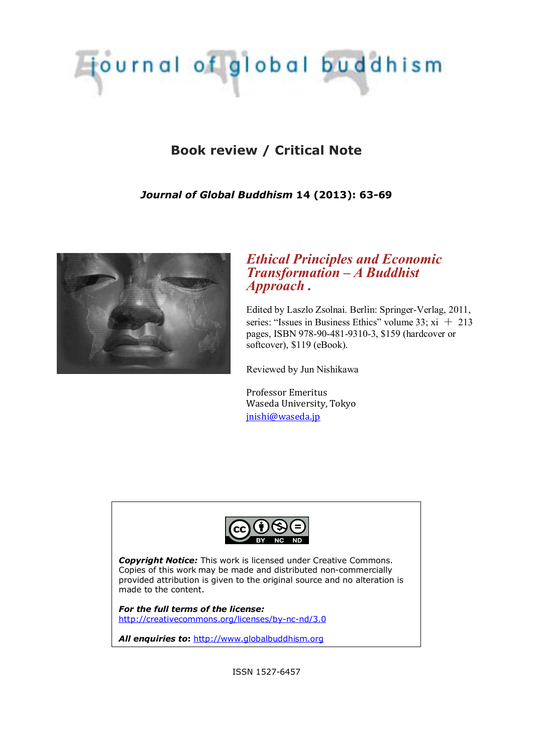# Tournal of global buddhism

## **Book review / Critical Note**

## *Journal of Global Buddhism* **14 (2013): 63-69**



## *Ethical Principles and Economic Transformation – A Buddhist Approach .*

Edited by Laszlo Zsolnai. Berlin: Springer-Verlag, 2011, series: "Issues in Business Ethics" volume  $33$ ;  $xi + 213$ pages, ISBN 978-90-481-9310-3, \$159 (hardcover or softcover), \$119 (eBook).

Reviewed by Jun Nishikawa

Professor Emeritus Waseda University, Tokyo [jnishi@waseda.jp](mailto:jnishi@waseda.jp)



*Copyright Notice:* This work is licensed under Creative Commons. Copies of this work may be made and distributed non-commercially provided attribution is given to the original source and no alteration is made to the content.

*For the full terms of the license:* <http://creativecommons.org/licenses/by-nc-nd/3.0>

*All enquiries to***:** [http://www.globalbuddhism.org](http://www.globalbuddhism.org/)

ISSN 1527-6457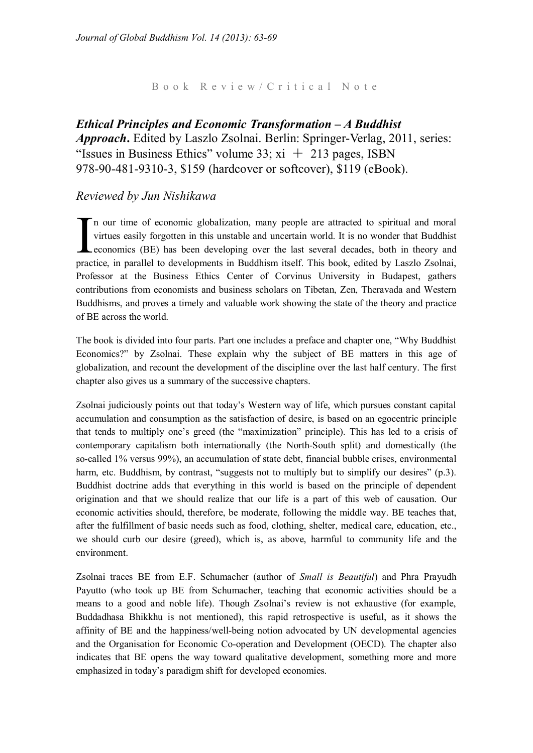Book Review/Critical Note

*Ethical Principles and Economic Transformation – A Buddhist Approach***.** Edited by Laszlo Zsolnai. Berlin: Springer-Verlag, 2011, series: "Issues in Business Ethics" volume 33;  $xi + 213$  pages, ISBN 978-90-481-9310-3, \$159 (hardcover or softcover), \$119 (eBook).

#### *Reviewed by Jun Nishikawa*

n our time of economic globalization, many people are attracted to spiritual and moral virtues easily forgotten in this unstable and uncertain world. It is no wonder that Buddhist economics (BE) has been developing over the last several decades, both in theory and In our time of economic globalization, many people are attracted to spiritual and moral virtues easily forgotten in this unstable and uncertain world. It is no wonder that Buddhist economics (BE) has been developing over t Professor at the Business Ethics Center of Corvinus University in Budapest, gathers contributions from economists and business scholars on Tibetan, Zen, Theravada and Western Buddhisms, and proves a timely and valuable work showing the state of the theory and practice of BE across the world.

The book is divided into four parts. Part one includes a preface and chapter one, "Why Buddhist Economics?" by Zsolnai. These explain why the subject of BE matters in this age of globalization, and recount the development of the discipline over the last half century. The first chapter also gives us a summary of the successive chapters.

Zsolnai judiciously points out that today's Western way of life, which pursues constant capital accumulation and consumption as the satisfaction of desire, is based on an egocentric principle that tends to multiply one's greed (the "maximization" principle). This has led to a crisis of contemporary capitalism both internationally (the North-South split) and domestically (the so-called 1% versus 99%), an accumulation of state debt, financial bubble crises, environmental harm, etc. Buddhism, by contrast, "suggests not to multiply but to simplify our desires" (p.3). Buddhist doctrine adds that everything in this world is based on the principle of dependent origination and that we should realize that our life is a part of this web of causation. Our economic activities should, therefore, be moderate, following the middle way. BE teaches that, after the fulfillment of basic needs such as food, clothing, shelter, medical care, education, etc., we should curb our desire (greed), which is, as above, harmful to community life and the environment.

Zsolnai traces BE from E.F. Schumacher (author of *Small is Beautiful*) and Phra Prayudh Payutto (who took up BE from Schumacher, teaching that economic activities should be a means to a good and noble life). Though Zsolnai's review is not exhaustive (for example, Buddadhasa Bhikkhu is not mentioned), this rapid retrospective is useful, as it shows the affinity of BE and the happiness/well-being notion advocated by UN developmental agencies and the Organisation for Economic Co-operation and Development (OECD). The chapter also indicates that BE opens the way toward qualitative development, something more and more emphasized in today's paradigm shift for developed economies.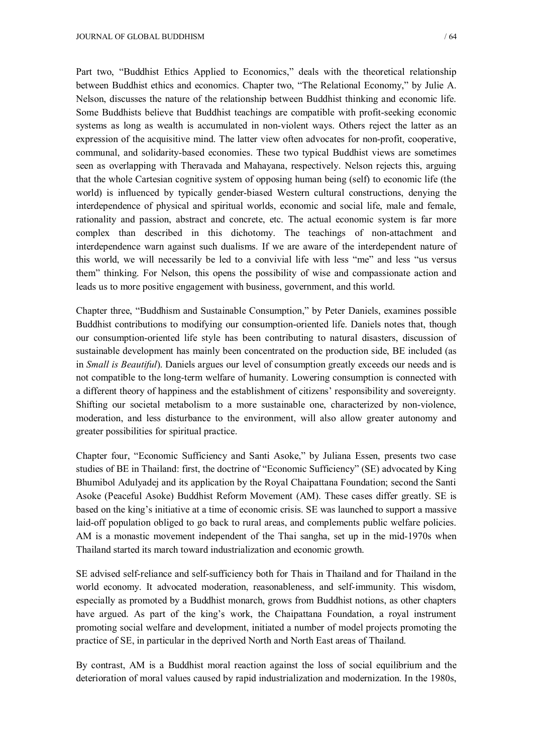Part two, "Buddhist Ethics Applied to Economics," deals with the theoretical relationship between Buddhist ethics and economics. Chapter two, "The Relational Economy," by Julie A. Nelson, discusses the nature of the relationship between Buddhist thinking and economic life. Some Buddhists believe that Buddhist teachings are compatible with profit-seeking economic systems as long as wealth is accumulated in non-violent ways. Others reject the latter as an expression of the acquisitive mind. The latter view often advocates for non-profit, cooperative, communal, and solidarity-based economies. These two typical Buddhist views are sometimes seen as overlapping with Theravada and Mahayana, respectively. Nelson rejects this, arguing that the whole Cartesian cognitive system of opposing human being (self) to economic life (the world) is influenced by typically gender-biased Western cultural constructions, denying the interdependence of physical and spiritual worlds, economic and social life, male and female, rationality and passion, abstract and concrete, etc. The actual economic system is far more complex than described in this dichotomy. The teachings of non-attachment and interdependence warn against such dualisms. If we are aware of the interdependent nature of this world, we will necessarily be led to a convivial life with less "me" and less "us versus them" thinking. For Nelson, this opens the possibility of wise and compassionate action and leads us to more positive engagement with business, government, and this world.

Chapter three, "Buddhism and Sustainable Consumption," by Peter Daniels, examines possible Buddhist contributions to modifying our consumption-oriented life. Daniels notes that, though our consumption-oriented life style has been contributing to natural disasters, discussion of sustainable development has mainly been concentrated on the production side, BE included (as in *Small is Beautiful*). Daniels argues our level of consumption greatly exceeds our needs and is not compatible to the long-term welfare of humanity. Lowering consumption is connected with a different theory of happiness and the establishment of citizens' responsibility and sovereignty. Shifting our societal metabolism to a more sustainable one, characterized by non-violence, moderation, and less disturbance to the environment, will also allow greater autonomy and greater possibilities for spiritual practice.

Chapter four, "Economic Sufficiency and Santi Asoke," by Juliana Essen, presents two case studies of BE in Thailand: first, the doctrine of "Economic Sufficiency" (SE) advocated by King Bhumibol Adulyadej and its application by the Royal Chaipattana Foundation; second the Santi Asoke (Peaceful Asoke) Buddhist Reform Movement (AM). These cases differ greatly. SE is based on the king's initiative at a time of economic crisis. SE was launched to support a massive laid-off population obliged to go back to rural areas, and complements public welfare policies. AM is a monastic movement independent of the Thai sangha, set up in the mid-1970s when Thailand started its march toward industrialization and economic growth.

SE advised self-reliance and self-sufficiency both for Thais in Thailand and for Thailand in the world economy. It advocated moderation, reasonableness, and self-immunity. This wisdom, especially as promoted by a Buddhist monarch, grows from Buddhist notions, as other chapters have argued. As part of the king's work, the Chaipattana Foundation, a royal instrument promoting social welfare and development, initiated a number of model projects promoting the practice of SE, in particular in the deprived North and North East areas of Thailand.

By contrast, AM is a Buddhist moral reaction against the loss of social equilibrium and the deterioration of moral values caused by rapid industrialization and modernization. In the 1980s,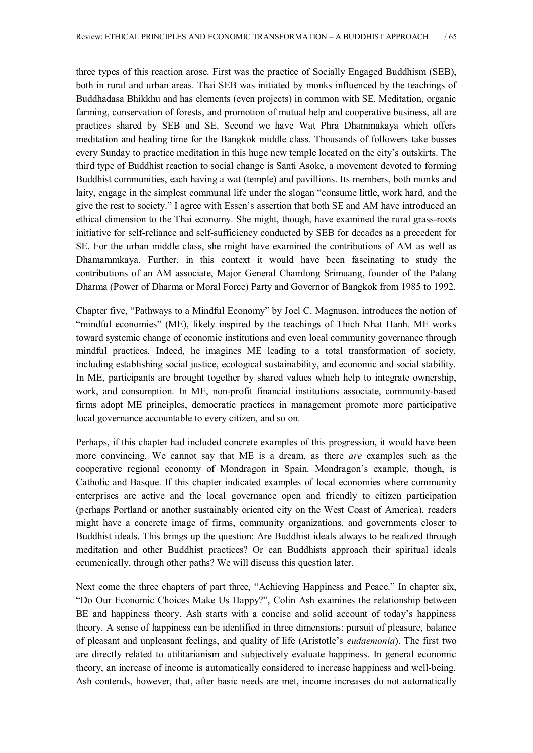three types of this reaction arose. First was the practice of Socially Engaged Buddhism (SEB), both in rural and urban areas. Thai SEB was initiated by monks influenced by the teachings of Buddhadasa Bhikkhu and has elements (even projects) in common with SE. Meditation, organic farming, conservation of forests, and promotion of mutual help and cooperative business, all are practices shared by SEB and SE. Second we have Wat Phra Dhammakaya which offers meditation and healing time for the Bangkok middle class. Thousands of followers take busses every Sunday to practice meditation in this huge new temple located on the city's outskirts. The third type of Buddhist reaction to social change is Santi Asoke, a movement devoted to forming Buddhist communities, each having a wat (temple) and pavillions. Its members, both monks and laity, engage in the simplest communal life under the slogan "consume little, work hard, and the give the rest to society." I agree with Essen's assertion that both SE and AM have introduced an ethical dimension to the Thai economy. She might, though, have examined the rural grass-roots initiative for self-reliance and self-sufficiency conducted by SEB for decades as a precedent for SE. For the urban middle class, she might have examined the contributions of AM as well as Dhamammkaya. Further, in this context it would have been fascinating to study the contributions of an AM associate, Major General Chamlong Srimuang, founder of the Palang Dharma (Power of Dharma or Moral Force) Party and Governor of Bangkok from 1985 to 1992.

Chapter five, "Pathways to a Mindful Economy" by Joel C. Magnuson, introduces the notion of "mindful economies" (ME), likely inspired by the teachings of Thich Nhat Hanh. ME works toward systemic change of economic institutions and even local community governance through mindful practices. Indeed, he imagines ME leading to a total transformation of society, including establishing social justice, ecological sustainability, and economic and social stability. In ME, participants are brought together by shared values which help to integrate ownership, work, and consumption. In ME, non-profit financial institutions associate, community-based firms adopt ME principles, democratic practices in management promote more participative local governance accountable to every citizen, and so on.

Perhaps, if this chapter had included concrete examples of this progression, it would have been more convincing. We cannot say that ME is a dream, as there *are* examples such as the cooperative regional economy of Mondragon in Spain. Mondragon's example, though, is Catholic and Basque. If this chapter indicated examples of local economies where community enterprises are active and the local governance open and friendly to citizen participation (perhaps Portland or another sustainably oriented city on the West Coast of America), readers might have a concrete image of firms, community organizations, and governments closer to Buddhist ideals. This brings up the question: Are Buddhist ideals always to be realized through meditation and other Buddhist practices? Or can Buddhists approach their spiritual ideals ecumenically, through other paths? We will discuss this question later.

Next come the three chapters of part three, "Achieving Happiness and Peace." In chapter six, "Do Our Economic Choices Make Us Happy?", Colin Ash examines the relationship between BE and happiness theory. Ash starts with a concise and solid account of today's happiness theory. A sense of happiness can be identified in three dimensions: pursuit of pleasure, balance of pleasant and unpleasant feelings, and quality of life (Aristotle's *eudaemonia*). The first two are directly related to utilitarianism and subjectively evaluate happiness. In general economic theory, an increase of income is automatically considered to increase happiness and well-being. Ash contends, however, that, after basic needs are met, income increases do not automatically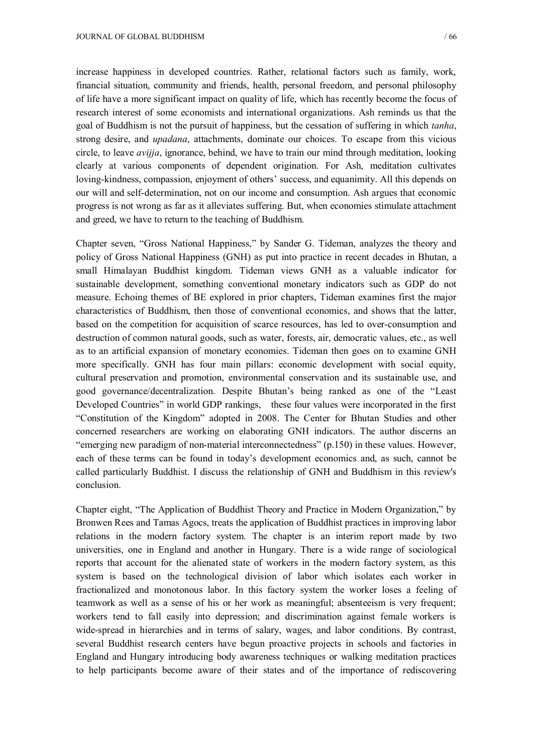increase happiness in developed countries. Rather, relational factors such as family, work, financial situation, community and friends, health, personal freedom, and personal philosophy of life have a more significant impact on quality of life, which has recently become the focus of research interest of some economists and international organizations. Ash reminds us that the goal of Buddhism is not the pursuit of happiness, but the cessation of suffering in which *tanha*, strong desire, and *upadana*, attachments, dominate our choices. To escape from this vicious circle, to leave *avijja*, ignorance, behind, we have to train our mind through meditation, looking clearly at various components of dependent origination. For Ash, meditation cultivates loving-kindness, compassion, enjoyment of others' success, and equanimity. All this depends on our will and self-determination, not on our income and consumption. Ash argues that economic progress is not wrong as far as it alleviates suffering. But, when economies stimulate attachment and greed, we have to return to the teaching of Buddhism.

Chapter seven, "Gross National Happiness," by Sander G. Tideman, analyzes the theory and policy of Gross National Happiness (GNH) as put into practice in recent decades in Bhutan, a small Himalayan Buddhist kingdom. Tideman views GNH as a valuable indicator for sustainable development, something conventional monetary indicators such as GDP do not measure. Echoing themes of BE explored in prior chapters, Tideman examines first the major characteristics of Buddhism, then those of conventional economics, and shows that the latter, based on the competition for acquisition of scarce resources, has led to over-consumption and destruction of common natural goods, such as water, forests, air, democratic values, etc., as well as to an artificial expansion of monetary economies. Tideman then goes on to examine GNH more specifically. GNH has four main pillars: economic development with social equity, cultural preservation and promotion, environmental conservation and its sustainable use, and good governance/decentralization. Despite Bhutan's being ranked as one of the "Least Developed Countries" in world GDP rankings, these four values were incorporated in the first "Constitution of the Kingdom" adopted in 2008. The Center for Bhutan Studies and other concerned researchers are working on elaborating GNH indicators. The author discerns an "emerging new paradigm of non-material interconnectedness" (p.150) in these values. However, each of these terms can be found in today's development economics and, as such, cannot be called particularly Buddhist. I discuss the relationship of GNH and Buddhism in this review's conclusion.

Chapter eight, "The Application of Buddhist Theory and Practice in Modern Organization," by Bronwen Rees and Tamas Agocs, treats the application of Buddhist practices in improving labor relations in the modern factory system. The chapter is an interim report made by two universities, one in England and another in Hungary. There is a wide range of sociological reports that account for the alienated state of workers in the modern factory system, as this system is based on the technological division of labor which isolates each worker in fractionalized and monotonous labor. In this factory system the worker loses a feeling of teamwork as well as a sense of his or her work as meaningful; absenteeism is very frequent; workers tend to fall easily into depression; and discrimination against female workers is wide-spread in hierarchies and in terms of salary, wages, and labor conditions. By contrast, several Buddhist research centers have begun proactive projects in schools and factories in England and Hungary introducing body awareness techniques or walking meditation practices to help participants become aware of their states and of the importance of rediscovering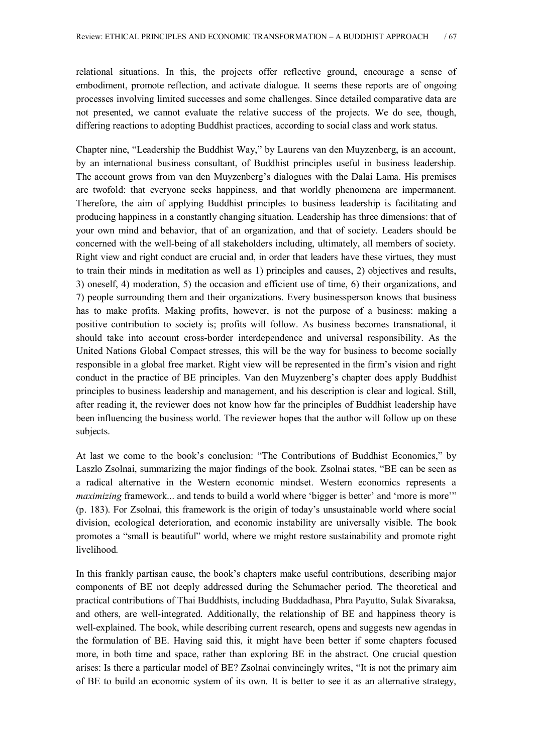relational situations. In this, the projects offer reflective ground, encourage a sense of embodiment, promote reflection, and activate dialogue. It seems these reports are of ongoing processes involving limited successes and some challenges. Since detailed comparative data are not presented, we cannot evaluate the relative success of the projects. We do see, though, differing reactions to adopting Buddhist practices, according to social class and work status.

Chapter nine, "Leadership the Buddhist Way," by Laurens van den Muyzenberg, is an account, by an international business consultant, of Buddhist principles useful in business leadership. The account grows from van den Muyzenberg's dialogues with the Dalai Lama. His premises are twofold: that everyone seeks happiness, and that worldly phenomena are impermanent. Therefore, the aim of applying Buddhist principles to business leadership is facilitating and producing happiness in a constantly changing situation. Leadership has three dimensions: that of your own mind and behavior, that of an organization, and that of society. Leaders should be concerned with the well-being of all stakeholders including, ultimately, all members of society. Right view and right conduct are crucial and, in order that leaders have these virtues, they must to train their minds in meditation as well as 1) principles and causes, 2) objectives and results, 3) oneself, 4) moderation, 5) the occasion and efficient use of time, 6) their organizations, and 7) people surrounding them and their organizations. Every businessperson knows that business has to make profits. Making profits, however, is not the purpose of a business: making a positive contribution to society is; profits will follow. As business becomes transnational, it should take into account cross-border interdependence and universal responsibility. As the United Nations Global Compact stresses, this will be the way for business to become socially responsible in a global free market. Right view will be represented in the firm's vision and right conduct in the practice of BE principles. Van den Muyzenberg's chapter does apply Buddhist principles to business leadership and management, and his description is clear and logical. Still, after reading it, the reviewer does not know how far the principles of Buddhist leadership have been influencing the business world. The reviewer hopes that the author will follow up on these subjects.

At last we come to the book's conclusion: "The Contributions of Buddhist Economics," by Laszlo Zsolnai, summarizing the major findings of the book. Zsolnai states, "BE can be seen as a radical alternative in the Western economic mindset. Western economics represents a *maximizing* framework... and tends to build a world where 'bigger is better' and 'more is more'" (p. 183). For Zsolnai, this framework is the origin of today's unsustainable world where social division, ecological deterioration, and economic instability are universally visible. The book promotes a "small is beautiful" world, where we might restore sustainability and promote right livelihood.

In this frankly partisan cause, the book's chapters make useful contributions, describing major components of BE not deeply addressed during the Schumacher period. The theoretical and practical contributions of Thai Buddhists, including Buddadhasa, Phra Payutto, Sulak Sivaraksa, and others, are well-integrated. Additionally, the relationship of BE and happiness theory is well-explained. The book, while describing current research, opens and suggests new agendas in the formulation of BE. Having said this, it might have been better if some chapters focused more, in both time and space, rather than exploring BE in the abstract. One crucial question arises: Is there a particular model of BE? Zsolnai convincingly writes, "It is not the primary aim of BE to build an economic system of its own. It is better to see it as an alternative strategy,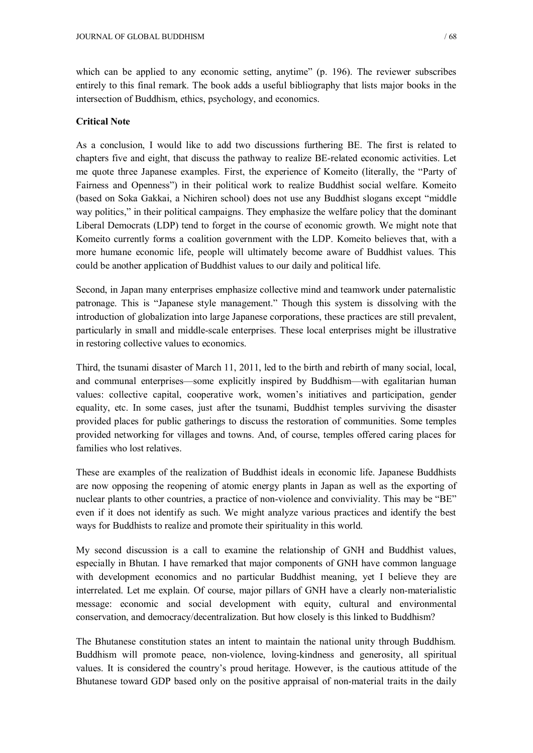which can be applied to any economic setting, anytime" (p. 196). The reviewer subscribes entirely to this final remark. The book adds a useful bibliography that lists major books in the intersection of Buddhism, ethics, psychology, and economics.

#### **Critical Note**

As a conclusion, I would like to add two discussions furthering BE. The first is related to chapters five and eight, that discuss the pathway to realize BE-related economic activities. Let me quote three Japanese examples. First, the experience of Komeito (literally, the "Party of Fairness and Openness") in their political work to realize Buddhist social welfare. Komeito (based on Soka Gakkai, a Nichiren school) does not use any Buddhist slogans except "middle way politics," in their political campaigns. They emphasize the welfare policy that the dominant Liberal Democrats (LDP) tend to forget in the course of economic growth. We might note that Komeito currently forms a coalition government with the LDP. Komeito believes that, with a more humane economic life, people will ultimately become aware of Buddhist values. This could be another application of Buddhist values to our daily and political life.

Second, in Japan many enterprises emphasize collective mind and teamwork under paternalistic patronage. This is "Japanese style management." Though this system is dissolving with the introduction of globalization into large Japanese corporations, these practices are still prevalent, particularly in small and middle-scale enterprises. These local enterprises might be illustrative in restoring collective values to economics.

Third, the tsunami disaster of March 11, 2011, led to the birth and rebirth of many social, local, and communal enterprises—some explicitly inspired by Buddhism—with egalitarian human values: collective capital, cooperative work, women's initiatives and participation, gender equality, etc. In some cases, just after the tsunami, Buddhist temples surviving the disaster provided places for public gatherings to discuss the restoration of communities. Some temples provided networking for villages and towns. And, of course, temples offered caring places for families who lost relatives.

These are examples of the realization of Buddhist ideals in economic life. Japanese Buddhists are now opposing the reopening of atomic energy plants in Japan as well as the exporting of nuclear plants to other countries, a practice of non-violence and conviviality. This may be "BE" even if it does not identify as such. We might analyze various practices and identify the best ways for Buddhists to realize and promote their spirituality in this world.

My second discussion is a call to examine the relationship of GNH and Buddhist values, especially in Bhutan. I have remarked that major components of GNH have common language with development economics and no particular Buddhist meaning, yet I believe they are interrelated. Let me explain. Of course, major pillars of GNH have a clearly non-materialistic message: economic and social development with equity, cultural and environmental conservation, and democracy/decentralization. But how closely is this linked to Buddhism?

The Bhutanese constitution states an intent to maintain the national unity through Buddhism. Buddhism will promote peace, non-violence, loving-kindness and generosity, all spiritual values. It is considered the country's proud heritage. However, is the cautious attitude of the Bhutanese toward GDP based only on the positive appraisal of non-material traits in the daily